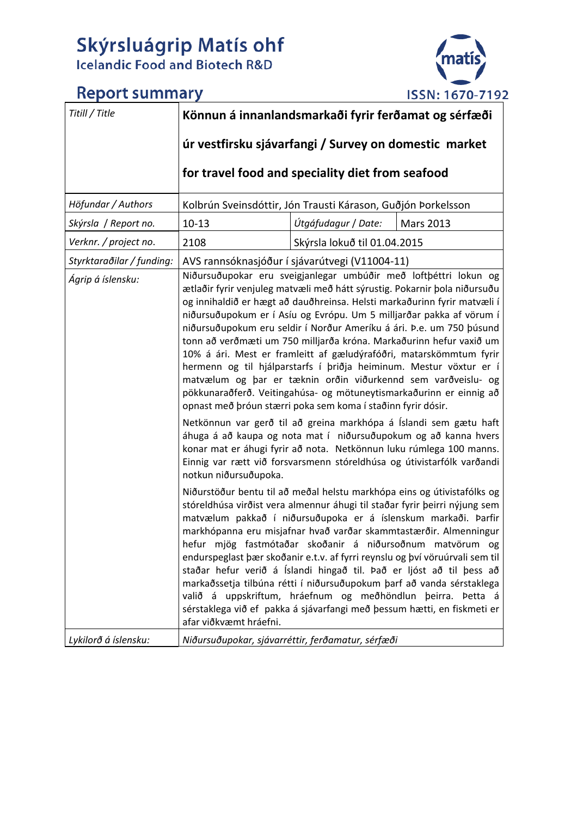## **Skýrsluágrip Matís ohf**<br>Icelandic Food and Biotech R&D



## **Report summary**

| Titill / Title                                 | Könnun á innanlandsmarkaði fyrir ferðamat og sérfæði                                                                                                                                                                                                                                                                                                                                                                                                                                                                                                                                                                                                                                                                                                                                                                                                                                                                                                                                                                                                                                                                                                                                                                                                                                                                                                                                                                                                                                                                                                                                                                                                                                                                                                                                                                                                                                                                                             |                                                              |                  |
|------------------------------------------------|--------------------------------------------------------------------------------------------------------------------------------------------------------------------------------------------------------------------------------------------------------------------------------------------------------------------------------------------------------------------------------------------------------------------------------------------------------------------------------------------------------------------------------------------------------------------------------------------------------------------------------------------------------------------------------------------------------------------------------------------------------------------------------------------------------------------------------------------------------------------------------------------------------------------------------------------------------------------------------------------------------------------------------------------------------------------------------------------------------------------------------------------------------------------------------------------------------------------------------------------------------------------------------------------------------------------------------------------------------------------------------------------------------------------------------------------------------------------------------------------------------------------------------------------------------------------------------------------------------------------------------------------------------------------------------------------------------------------------------------------------------------------------------------------------------------------------------------------------------------------------------------------------------------------------------------------------|--------------------------------------------------------------|------------------|
|                                                | úr vestfirsku sjávarfangi / Survey on domestic market                                                                                                                                                                                                                                                                                                                                                                                                                                                                                                                                                                                                                                                                                                                                                                                                                                                                                                                                                                                                                                                                                                                                                                                                                                                                                                                                                                                                                                                                                                                                                                                                                                                                                                                                                                                                                                                                                            |                                                              |                  |
|                                                | for travel food and speciality diet from seafood                                                                                                                                                                                                                                                                                                                                                                                                                                                                                                                                                                                                                                                                                                                                                                                                                                                                                                                                                                                                                                                                                                                                                                                                                                                                                                                                                                                                                                                                                                                                                                                                                                                                                                                                                                                                                                                                                                 |                                                              |                  |
| Höfundar / Authors                             |                                                                                                                                                                                                                                                                                                                                                                                                                                                                                                                                                                                                                                                                                                                                                                                                                                                                                                                                                                                                                                                                                                                                                                                                                                                                                                                                                                                                                                                                                                                                                                                                                                                                                                                                                                                                                                                                                                                                                  | Kolbrún Sveinsdóttir, Jón Trausti Kárason, Guðjón Þorkelsson |                  |
| Skýrsla / Report no.                           | $10 - 13$                                                                                                                                                                                                                                                                                                                                                                                                                                                                                                                                                                                                                                                                                                                                                                                                                                                                                                                                                                                                                                                                                                                                                                                                                                                                                                                                                                                                                                                                                                                                                                                                                                                                                                                                                                                                                                                                                                                                        | Útgáfudagur / Date:                                          | <b>Mars 2013</b> |
| Verknr. / project no.                          | 2108                                                                                                                                                                                                                                                                                                                                                                                                                                                                                                                                                                                                                                                                                                                                                                                                                                                                                                                                                                                                                                                                                                                                                                                                                                                                                                                                                                                                                                                                                                                                                                                                                                                                                                                                                                                                                                                                                                                                             |                                                              |                  |
| Styrktaraðilar / funding:<br>Ágrip á íslensku: | Skýrsla lokuð til 01.04.2015<br>AVS rannsóknasjóður í sjávarútvegi (V11004-11)<br>Niðursuðupokar eru sveigjanlegar umbúðir með loftþéttri lokun og<br>ætlaðir fyrir venjuleg matvæli með hátt sýrustig. Pokarnir þola niðursuðu<br>og innihaldið er hægt að dauðhreinsa. Helsti markaðurinn fyrir matvæli í<br>niðursuðupokum er í Asíu og Evrópu. Um 5 milljarðar pakka af vörum í<br>niðursuðupokum eru seldir í Norður Ameríku á ári. Þ.e. um 750 þúsund<br>tonn að verðmæti um 750 milljarða króna. Markaðurinn hefur vaxið um<br>10% á ári. Mest er framleitt af gæludýrafóðri, matarskömmtum fyrir<br>hermenn og til hjálparstarfs í þriðja heiminum. Mestur vöxtur er í<br>matvælum og þar er tæknin orðin viðurkennd sem varðveislu- og<br>pökkunaraðferð. Veitingahúsa- og mötuneytismarkaðurinn er einnig að<br>opnast með þróun stærri poka sem koma í staðinn fyrir dósir.<br>Netkönnun var gerð til að greina markhópa á Íslandi sem gætu haft<br>áhuga á að kaupa og nota mat í niðursuðupokum og að kanna hvers<br>konar mat er áhugi fyrir að nota. Netkönnun luku rúmlega 100 manns.<br>Einnig var rætt við forsvarsmenn stóreldhúsa og útivistarfólk varðandi<br>notkun niðursuðupoka.<br>Niðurstöður bentu til að meðal helstu markhópa eins og útivistafólks og<br>stóreldhúsa virðist vera almennur áhugi til staðar fyrir þeirri nýjung sem<br>matvælum pakkað í niðursuðupoka er á íslenskum markaði. Þarfir<br>markhópanna eru misjafnar hvað varðar skammtastærðir. Almenningur<br>hefur mjög fastmótaðar skoðanir á niðursoðnum matvörum og<br>endurspeglast þær skoðanir e.t.v. af fyrri reynslu og því vöruúrvali sem til<br>staðar hefur verið á Íslandi hingað til. Það er ljóst að til þess að<br>markaðssetja tilbúna rétti í niðursuðupokum þarf að vanda sérstaklega<br>valið á uppskriftum, hráefnum og meðhöndlun þeirra. Þetta á<br>sérstaklega við ef pakka á sjávarfangi með þessum hætti, en fiskmeti er |                                                              |                  |
| Lykilorð á íslensku:                           | Niðursuðupokar, sjávarréttir, ferðamatur, sérfæði                                                                                                                                                                                                                                                                                                                                                                                                                                                                                                                                                                                                                                                                                                                                                                                                                                                                                                                                                                                                                                                                                                                                                                                                                                                                                                                                                                                                                                                                                                                                                                                                                                                                                                                                                                                                                                                                                                |                                                              |                  |